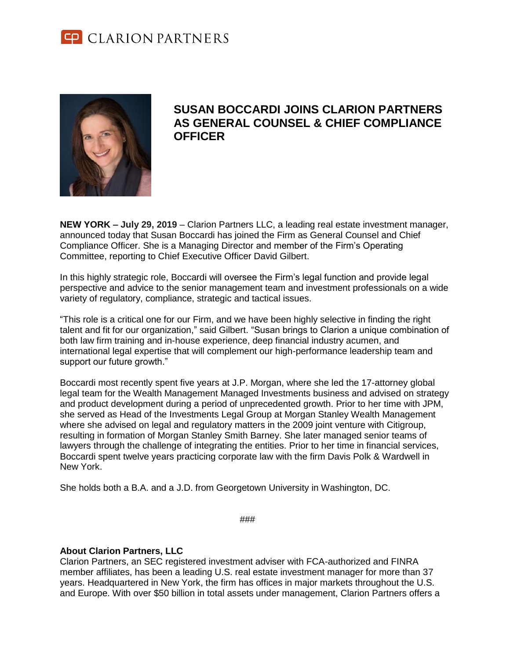



## **SUSAN BOCCARDI JOINS CLARION PARTNERS AS GENERAL COUNSEL & CHIEF COMPLIANCE OFFICER**

**NEW YORK – July 29, 2019** – Clarion Partners LLC, a leading real estate investment manager, announced today that Susan Boccardi has joined the Firm as General Counsel and Chief Compliance Officer. She is a Managing Director and member of the Firm's Operating Committee, reporting to Chief Executive Officer David Gilbert.

In this highly strategic role, Boccardi will oversee the Firm's legal function and provide legal perspective and advice to the senior management team and investment professionals on a wide variety of regulatory, compliance, strategic and tactical issues.

"This role is a critical one for our Firm, and we have been highly selective in finding the right talent and fit for our organization," said Gilbert. "Susan brings to Clarion a unique combination of both law firm training and in-house experience, deep financial industry acumen, and international legal expertise that will complement our high-performance leadership team and support our future growth."

Boccardi most recently spent five years at J.P. Morgan, where she led the 17-attorney global legal team for the Wealth Management Managed Investments business and advised on strategy and product development during a period of unprecedented growth. Prior to her time with JPM, she served as Head of the Investments Legal Group at Morgan Stanley Wealth Management where she advised on legal and regulatory matters in the 2009 joint venture with Citigroup, resulting in formation of Morgan Stanley Smith Barney. She later managed senior teams of lawyers through the challenge of integrating the entities. Prior to her time in financial services, Boccardi spent twelve years practicing corporate law with the firm Davis Polk & Wardwell in New York.

She holds both a B.A. and a J.D. from Georgetown University in Washington, DC.

###

## **About Clarion Partners, LLC**

Clarion Partners, an SEC registered investment adviser with FCA-authorized and FINRA member affiliates, has been a leading U.S. real estate investment manager for more than 37 years. Headquartered in New York, the firm has offices in major markets throughout the U.S. and Europe. With over \$50 billion in total assets under management, Clarion Partners offers a